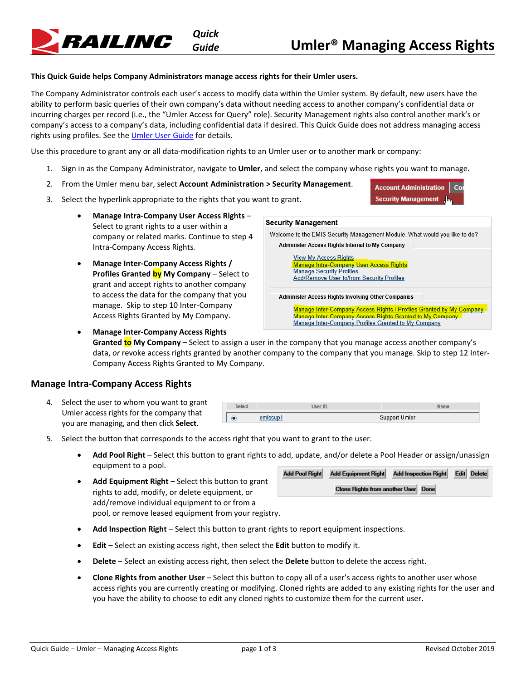Cor

**Account Administration Security Management** 

### **This Quick Guide helps Company Administrators manage access rights for their Umler users.**

*Quick*

The Company Administrator controls each user's access to modify data within the Umler system. By default, new users have the ability to perform basic queries of their own company's data without needing access to another company's confidential data or incurring charges per record (i.e., the "Umler Access for Query" role). Security Management rights also control another mark's or company's access to a company's data, including confidential data if desired. This Quick Guide does not address managing access rights using profiles. See the [Umler User Guide](https://www.railinc.com/rportal/documents/18/260655/UmlerUserGuide.pdf) for details.

Use this procedure to grant any or all data-modification rights to an Umler user or to another mark or company:

- 1. Sign in as the Company Administrator, navigate to **Umler**, and select the company whose rights you want to manage.
- 2. From the Umler menu bar, select **Account Administration > Security Management**.
- 3. Select the hyperlink appropriate to the rights that you want to grant.
	- **Manage Intra-Company User Access Rights** Select to grant rights to a user within a company or related marks. Continue to [step 4](#page-0-0) [Intra-Company Access Rights](#page-0-0)*.*
	- **Manage Inter-Company Access Rights / Profiles Granted by My Company** – Select to grant and accept rights to another company to access the data for the company that you manage. Skip t[o step 10 Inter-Company](#page-2-0)  [Access Rights Granted by](#page-2-0) My Company.

• **Manage Inter-Company Access Rights** 



**Granted to My Company** – Select to assign a user in the company that you manage access another company's data, *or* revoke access rights granted by another company to the company that you manage. Skip t[o step 12 Inter-](#page-2-1)[Company Access Rights Granted to](#page-2-1) My Compan*y*.

## <span id="page-0-0"></span>**Manage Intra-Company Access Rights**

RAILINC

4. Select the user to whom you want to grant Umler access rights for the company that you are managing, and then click **Select**.

|   | <b>Jser ID</b> |               |  |
|---|----------------|---------------|--|
| О |                | Support Umler |  |

- 5. Select the button that corresponds to the access right that you want to grant to the user.
	- **Add Pool Right** Select this button to grant rights to add, update, and/or delete a Pool Header or assign/unassign equipment to a pool. Add Bool Bight Add Equipment Bight Add Incognition Bight Edit Delate
	- **Add Equipment Right**  Select this button to grant rights to add, modify, or delete equipment, or add/remove individual equipment to or from a pool, or remove leased equipment from your registry.

| Add Pool Right | Add Equipment Right                 | Add Inspection Right | Editi Delete |
|----------------|-------------------------------------|----------------------|--------------|
|                | Clone Rights from another User Done |                      |              |

- **Add Inspection Right** Select this button to grant rights to report equipment inspections.
- **Edit** Select an existing access right, then select the **Edit** button to modify it.
- **Delete**  Select an existing access right, then select the **Delete** button to delete the access right.
- **Clone Rights from another User**  Select this button to copy all of a user's access rights to another user whose access rights you are currently creating or modifying. Cloned rights are added to any existing rights for the user and you have the ability to choose to edit any cloned rights to customize them for the current user.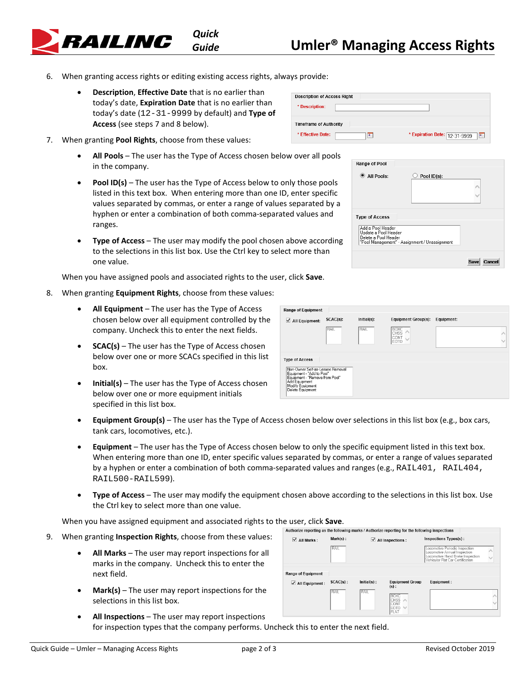

# *Guide* **Umler® Managing Access Rights**

- 6. When granting access rights or editing existing access rights, always provide:
	- **Description**, **Effective Date** that is no earlier than today's date, **Expiration Date** that is no earlier than today's date (12-31-9999 by default) and **Type of Access** (see step[s 7](#page-1-0) an[d 8](#page-1-1) below).
- <span id="page-1-0"></span>7. When granting **Pool Rights**, choose from these values:
	- **All Pools** The user has the Type of Access chosen below over all pools in the company.
	- **Pool ID(s)** The user has the Type of Access below to only those pools listed in this text box. When entering more than one ID, enter specific values separated by commas, or enter a range of values separated by a hyphen or enter a combination of both comma-separated values and ranges.
	- **Type of Access** The user may modify the pool chosen above according to the selections in this list box. Use the Ctrl key to select more than one value.

When you have assigned pools and associated rights to the user, click **Save**.

- 8. When granting **Equipment Rights**, choose from these values:
	- **All Equipment**  The user has the Type of Access chosen below over all equipment controlled by the company. Uncheck this to enter the next fields.
	- **SCAC(s)** The user has the Type of Access chosen below over one or more SCACs specified in this list box.
	- **Initial(s)** The user has the Type of Access chosen below over one or more equipment initials specified in this list box.

| <b>Description of Access Right</b> |                                    |  |  |  |  |  |  |
|------------------------------------|------------------------------------|--|--|--|--|--|--|
| * Description:                     |                                    |  |  |  |  |  |  |
| <b>Timeframe of Authority</b>      |                                    |  |  |  |  |  |  |
| * Effective Date:<br>π             | * Expiration Date: 12-31-9999<br>П |  |  |  |  |  |  |

| Range of Pool                                                     |                                               |  |
|-------------------------------------------------------------------|-----------------------------------------------|--|
| $\bullet$ All Pools:                                              | Pool ID(s):                                   |  |
|                                                                   |                                               |  |
|                                                                   |                                               |  |
|                                                                   |                                               |  |
| <b>Type of Access</b>                                             |                                               |  |
|                                                                   |                                               |  |
| Add a Pool Header<br>Update a Pool Header<br>Delete a Pool Header | "Pool Management" - Assignment / Unassignment |  |
|                                                                   |                                               |  |

<span id="page-1-1"></span>

| <b>Range of Equipment</b>                                                                                                                                |             |             |                                     |            |
|----------------------------------------------------------------------------------------------------------------------------------------------------------|-------------|-------------|-------------------------------------|------------|
| $\blacksquare$ All Equipment:                                                                                                                            | $SCAC(s)$ : | Initial(s): | <b>Equipment Group(s):</b>          | Equipment: |
|                                                                                                                                                          | RAIL        | RAIL        | <b>BOXC</b><br>CHSS<br>CONT<br>EOTD |            |
| <b>Type of Access</b>                                                                                                                                    |             |             |                                     |            |
| Non-Owner Self-as-Lessee Removal<br>Equipment - "Add to Pool"<br>Equipment - "Remove from Pool"<br>Add Equipment<br>Modify Equipment<br>Delete Equipment |             |             |                                     |            |

- **Equipment Group(s)**  The user has the Type of Access chosen below over selections in this list box (e.g., box cars, tank cars, locomotives, etc.).
- **Equipment** The user has the Type of Access chosen below to only the specific equipment listed in this text box. When entering more than one ID, enter specific values separated by commas, or enter a range of values separated by a hyphen or enter a combination of both comma-separated values and ranges (e.g., RAIL401, RAIL404, RAIL500-RAIL599).
- **Type of Access** The user may modify the equipment chosen above according to the selections in this list box. Use the Ctrl key to select more than one value.

When you have assigned equipment and associated rights to the user, click **Save**.

- 9. When granting **Inspection Rights**, choose from these values:
	- **All Marks**  The user may report inspections for all marks in the company. Uncheck this to enter the next field.
	- **Mark(s)** The user may report inspections for the selections in this list box.

| $\vee$ All Marks :                            | $Mark(s)$ :<br>RAIL        |                               | $\blacktriangleleft$ All Inspections :                                                    | Inspections Types(s):<br>Locomotive Periodic Inspection<br>Locomotive Annual Inspection<br>Locomotive Hand Brake Inspection<br>Vehicular Flat Car Certification |  |  |
|-----------------------------------------------|----------------------------|-------------------------------|-------------------------------------------------------------------------------------------|-----------------------------------------------------------------------------------------------------------------------------------------------------------------|--|--|
| Range of Equipment<br>$\angle$ All Equipment: | $SCAC(s)$ :<br><b>RAIL</b> | $Initial(s)$ :<br><b>RAIL</b> | <b>Equipment Group</b><br>$(s)$ :<br><b>BOXC</b><br><b>CHSS</b><br>CONT<br>EOTD<br>$\sim$ | Equipment:                                                                                                                                                      |  |  |

Authorize reporting as the following marks / Authorize reporting for the following inspections

• **All Inspections** – The user may report inspections for inspection types that the company performs. Uncheck this to enter the next field.